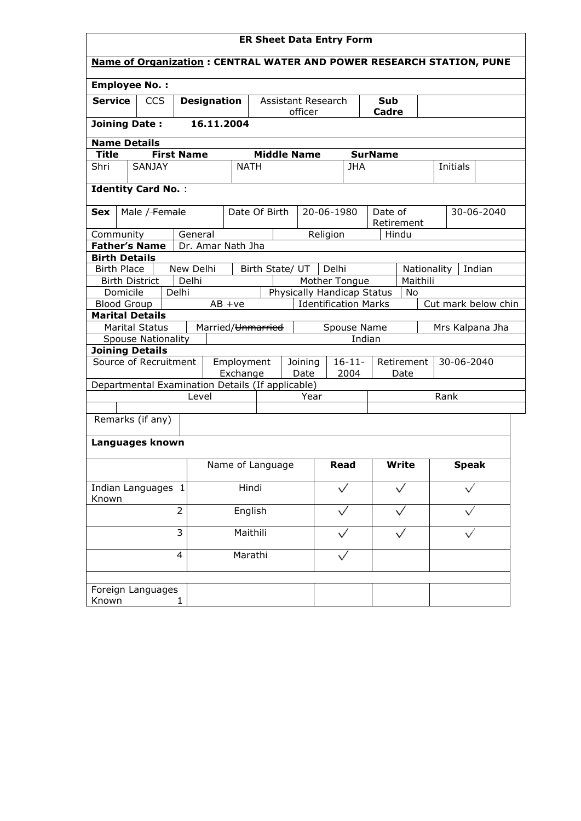| <b>ER Sheet Data Entry Form</b>                                                 |                     |  |  |  |  |  |  |  |
|---------------------------------------------------------------------------------|---------------------|--|--|--|--|--|--|--|
| <b>Name of Organization: CENTRAL WATER AND POWER RESEARCH STATION, PUNE</b>     |                     |  |  |  |  |  |  |  |
| <b>Employee No.:</b>                                                            |                     |  |  |  |  |  |  |  |
| <b>Service</b><br><b>CCS</b><br><b>Designation</b><br>Assistant Research<br>Sub |                     |  |  |  |  |  |  |  |
| officer<br><b>Cadre</b>                                                         |                     |  |  |  |  |  |  |  |
| 16.11.2004<br><b>Joining Date:</b>                                              |                     |  |  |  |  |  |  |  |
| <b>Name Details</b>                                                             |                     |  |  |  |  |  |  |  |
| <b>Middle Name</b><br><b>First Name</b><br><b>SurName</b><br><b>Title</b>       |                     |  |  |  |  |  |  |  |
| SANJAY<br><b>NATH</b><br>Shri<br><b>JHA</b>                                     | Initials            |  |  |  |  |  |  |  |
|                                                                                 |                     |  |  |  |  |  |  |  |
| <b>Identity Card No.:</b>                                                       |                     |  |  |  |  |  |  |  |
| Male / Female<br>Date Of Birth<br>20-06-1980<br>Date of<br><b>Sex</b>           | 30-06-2040          |  |  |  |  |  |  |  |
| Retirement                                                                      |                     |  |  |  |  |  |  |  |
| Community<br>General<br>Religion<br>Hindu                                       |                     |  |  |  |  |  |  |  |
| Dr. Amar Nath Jha<br><b>Father's Name</b>                                       |                     |  |  |  |  |  |  |  |
| <b>Birth Details</b>                                                            |                     |  |  |  |  |  |  |  |
| New Delhi<br>Delhi<br><b>Birth Place</b><br>Birth State/ UT<br>Nationality      | Indian              |  |  |  |  |  |  |  |
| Delhi<br>Maithili<br><b>Birth District</b><br>Mother Tongue                     |                     |  |  |  |  |  |  |  |
| Delhi<br>Physically Handicap Status<br>Domicile<br>No                           |                     |  |  |  |  |  |  |  |
| <b>Identification Marks</b><br><b>Blood Group</b><br>$AB +ve$                   | Cut mark below chin |  |  |  |  |  |  |  |
| <b>Marital Details</b>                                                          |                     |  |  |  |  |  |  |  |
| <b>Marital Status</b><br>Spouse Name<br>Married/Unmarried                       | Mrs Kalpana Jha     |  |  |  |  |  |  |  |
| <b>Spouse Nationality</b><br>Indian<br><b>Joining Details</b>                   |                     |  |  |  |  |  |  |  |
| Source of Recruitment<br>Employment<br>$16 - 11 -$<br>Joining<br>Retirement     | 30-06-2040          |  |  |  |  |  |  |  |
| Exchange<br>2004<br>Date<br>Date                                                |                     |  |  |  |  |  |  |  |
| Departmental Examination Details (If applicable)                                |                     |  |  |  |  |  |  |  |
| Level<br>Year                                                                   | Rank                |  |  |  |  |  |  |  |
|                                                                                 |                     |  |  |  |  |  |  |  |
| Remarks (if any)                                                                |                     |  |  |  |  |  |  |  |
|                                                                                 |                     |  |  |  |  |  |  |  |
| Languages known                                                                 |                     |  |  |  |  |  |  |  |
|                                                                                 |                     |  |  |  |  |  |  |  |
| <b>Write</b><br>Name of Language<br><b>Read</b>                                 | <b>Speak</b>        |  |  |  |  |  |  |  |
| Indian Languages 1<br>Hindi                                                     |                     |  |  |  |  |  |  |  |
| Known                                                                           |                     |  |  |  |  |  |  |  |
| $\overline{2}$<br>English                                                       |                     |  |  |  |  |  |  |  |
|                                                                                 |                     |  |  |  |  |  |  |  |
| 3<br>Maithili                                                                   |                     |  |  |  |  |  |  |  |
|                                                                                 |                     |  |  |  |  |  |  |  |
| Marathi<br>$\overline{4}$                                                       |                     |  |  |  |  |  |  |  |
|                                                                                 |                     |  |  |  |  |  |  |  |
| Foreign Languages                                                               |                     |  |  |  |  |  |  |  |
| Known<br>1                                                                      |                     |  |  |  |  |  |  |  |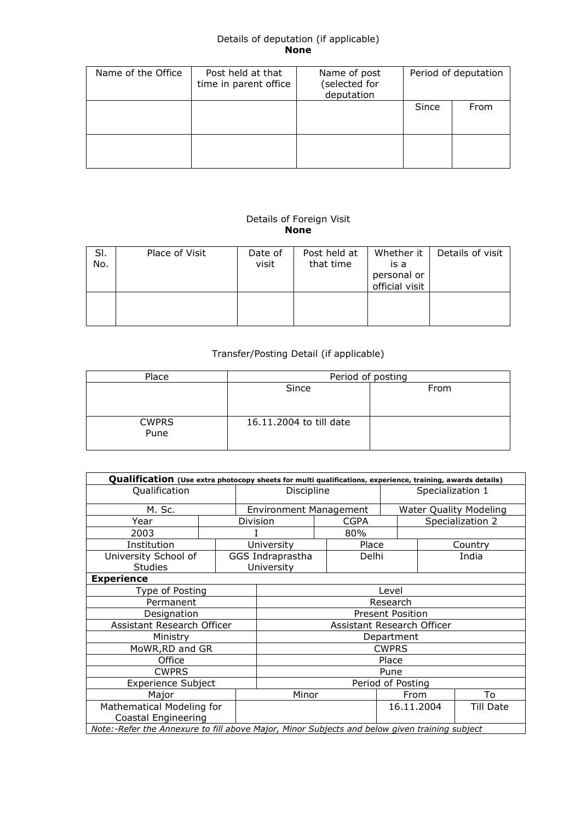## Details of deputation (if applicable) None

| Name of the Office | Post held at that<br>time in parent office | Name of post<br>(selected for<br>deputation | Period of deputation |      |  |
|--------------------|--------------------------------------------|---------------------------------------------|----------------------|------|--|
|                    |                                            |                                             | Since                | From |  |
|                    |                                            |                                             |                      |      |  |

## Details of Foreign Visit None

| SI.<br>No. | Place of Visit | Date of<br>visit | Post held at<br>that time | Whether it<br>is a<br>personal or<br>official visit | Details of visit |
|------------|----------------|------------------|---------------------------|-----------------------------------------------------|------------------|
|            |                |                  |                           |                                                     |                  |

## Transfer/Posting Detail (if applicable)

| Place                | Period of posting       |      |  |  |  |  |  |  |
|----------------------|-------------------------|------|--|--|--|--|--|--|
|                      | Since                   | From |  |  |  |  |  |  |
| <b>CWPRS</b><br>Pune | 16.11.2004 to till date |      |  |  |  |  |  |  |

| Qualification (Use extra photocopy sheets for multi qualifications, experience, training, awards details) |  |               |                               |  |       |                         |                               |       |  |
|-----------------------------------------------------------------------------------------------------------|--|---------------|-------------------------------|--|-------|-------------------------|-------------------------------|-------|--|
| Qualification                                                                                             |  | Discipline    |                               |  |       | Specialization 1        |                               |       |  |
| M. Sc.                                                                                                    |  |               | <b>Environment Management</b> |  |       |                         | <b>Water Quality Modeling</b> |       |  |
| Year                                                                                                      |  |               | <b>CGPA</b><br>Division       |  |       |                         | Specialization 2              |       |  |
| 2003                                                                                                      |  |               | 80%                           |  |       |                         |                               |       |  |
| Institution                                                                                               |  |               | University                    |  | Place |                         | Country                       |       |  |
| University School of                                                                                      |  |               | GGS Indraprastha              |  | Delhi |                         |                               | India |  |
| <b>Studies</b>                                                                                            |  |               | University                    |  |       |                         |                               |       |  |
| <b>Experience</b>                                                                                         |  |               |                               |  |       |                         |                               |       |  |
| Type of Posting                                                                                           |  | Level         |                               |  |       |                         |                               |       |  |
| Permanent                                                                                                 |  | Research      |                               |  |       |                         |                               |       |  |
| Designation                                                                                               |  |               |                               |  |       | <b>Present Position</b> |                               |       |  |
| Assistant Research Officer                                                                                |  |               |                               |  |       |                         | Assistant Research Officer    |       |  |
| Ministry                                                                                                  |  |               |                               |  |       | Department              |                               |       |  |
| MoWR, RD and GR                                                                                           |  |               |                               |  |       | <b>CWPRS</b>            |                               |       |  |
| Office                                                                                                    |  |               | Place                         |  |       |                         |                               |       |  |
| <b>CWPRS</b>                                                                                              |  |               | Pune                          |  |       |                         |                               |       |  |
| <b>Experience Subject</b>                                                                                 |  |               | Period of Posting             |  |       |                         |                               |       |  |
| Major                                                                                                     |  | Minor<br>From |                               |  |       |                         | To                            |       |  |
| Mathematical Modeling for                                                                                 |  | 16.11.2004    |                               |  |       |                         | <b>Till Date</b>              |       |  |
| <b>Coastal Engineering</b>                                                                                |  |               |                               |  |       |                         |                               |       |  |
| Note:-Refer the Annexure to fill above Major, Minor Subjects and below given training subject             |  |               |                               |  |       |                         |                               |       |  |